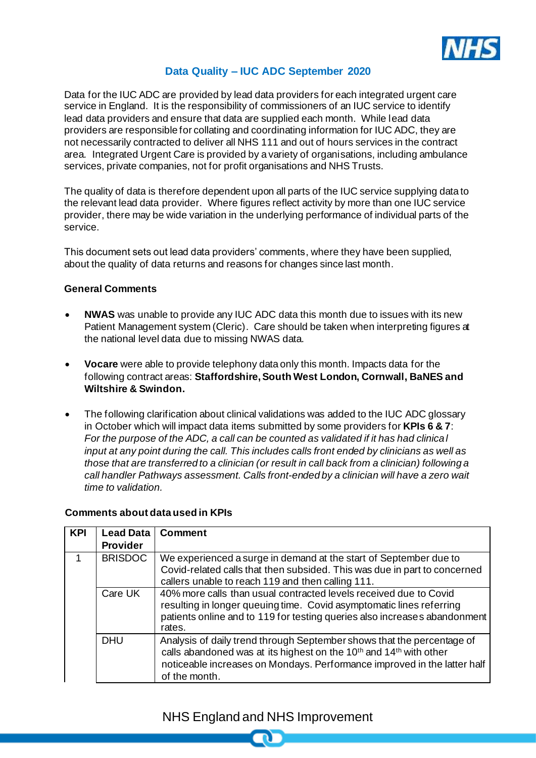

# **Data Quality – IUC ADC September 2020**

Data for the IUC ADC are provided by lead data providers for each integrated urgent care service in England. It is the responsibility of commissioners of an IUC service to identify lead data providers and ensure that data are supplied each month. While lead data providers are responsible for collating and coordinating information for IUC ADC, they are not necessarily contracted to deliver all NHS 111 and out of hours services in the contract area. Integrated Urgent Care is provided by a variety of organisations, including ambulance services, private companies, not for profit organisations and NHS Trusts.

The quality of data is therefore dependent upon all parts of the IUC service supplying data to the relevant lead data provider. Where figures reflect activity by more than one IUC service provider, there may be wide variation in the underlying performance of individual parts of the service.

This document sets out lead data providers' comments, where they have been supplied, about the quality of data returns and reasons for changes since last month.

### **General Comments**

- **NWAS** was unable to provide any IUC ADC data this month due to issues with its new Patient Management system (Cleric). Care should be taken when interpreting figures at the national level data due to missing NWAS data.
- **Vocare** were able to provide telephony data only this month. Impacts data for the following contract areas: **Staffordshire, South West London, Cornwall, BaNES and Wiltshire & Swindon.**
- The following clarification about clinical validations was added to the IUC ADC glossary in October which will impact data items submitted by some providers for **KPIs 6 & 7**: *For the purpose of the ADC, a call can be counted as validated if it has had clinical input at any point during the call. This includes calls front ended by clinicians as well as those that are transferred to a clinician (or result in call back from a clinician) following a call handler Pathways assessment. Calls front-ended by a clinician will have a zero wait time to validation.*

#### **Comments about data used in KPIs**

| <b>KPI</b> | Lead Data<br><b>Provider</b> | <b>Comment</b>                                                                                                                                                                                                                                                    |
|------------|------------------------------|-------------------------------------------------------------------------------------------------------------------------------------------------------------------------------------------------------------------------------------------------------------------|
|            | <b>BRISDOC</b>               | We experienced a surge in demand at the start of September due to<br>Covid-related calls that then subsided. This was due in part to concerned<br>callers unable to reach 119 and then calling 111.                                                               |
|            | Care UK                      | 40% more calls than usual contracted levels received due to Covid<br>resulting in longer queuing time. Covid asymptomatic lines referring<br>patients online and to 119 for testing queries also increases abandonment<br>rates.                                  |
|            | <b>DHU</b>                   | Analysis of daily trend through September shows that the percentage of<br>calls abandoned was at its highest on the 10 <sup>th</sup> and 14 <sup>th</sup> with other<br>noticeable increases on Mondays. Performance improved in the latter half<br>of the month. |

# NHS England and NHS Improvement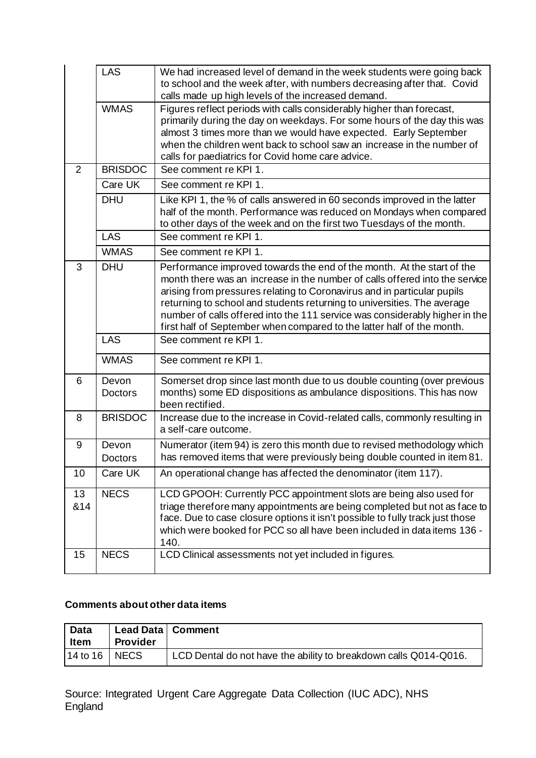|           | LAS                     | We had increased level of demand in the week students were going back<br>to school and the week after, with numbers decreasing after that. Covid<br>calls made up high levels of the increased demand.                                                                                                                                                                                                                                                               |
|-----------|-------------------------|----------------------------------------------------------------------------------------------------------------------------------------------------------------------------------------------------------------------------------------------------------------------------------------------------------------------------------------------------------------------------------------------------------------------------------------------------------------------|
|           | <b>WMAS</b>             | Figures reflect periods with calls considerably higher than forecast,<br>primarily during the day on weekdays. For some hours of the day this was<br>almost 3 times more than we would have expected. Early September<br>when the children went back to school saw an increase in the number of<br>calls for paediatrics for Covid home care advice.                                                                                                                 |
| 2         | <b>BRISDOC</b>          | See comment re KPI 1.                                                                                                                                                                                                                                                                                                                                                                                                                                                |
|           | Care UK                 | See comment re KPI 1.                                                                                                                                                                                                                                                                                                                                                                                                                                                |
|           | <b>DHU</b>              | Like KPI 1, the % of calls answered in 60 seconds improved in the latter<br>half of the month. Performance was reduced on Mondays when compared<br>to other days of the week and on the first two Tuesdays of the month.                                                                                                                                                                                                                                             |
|           | <b>LAS</b>              | See comment re KPI 1.                                                                                                                                                                                                                                                                                                                                                                                                                                                |
|           | <b>WMAS</b>             | See comment re KPI 1.                                                                                                                                                                                                                                                                                                                                                                                                                                                |
| 3         | <b>DHU</b>              | Performance improved towards the end of the month. At the start of the<br>month there was an increase in the number of calls offered into the service<br>arising from pressures relating to Coronavirus and in particular pupils<br>returning to school and students returning to universities. The average<br>number of calls offered into the 111 service was considerably higher in the<br>first half of September when compared to the latter half of the month. |
|           | <b>LAS</b>              | See comment re KPI 1.                                                                                                                                                                                                                                                                                                                                                                                                                                                |
|           |                         |                                                                                                                                                                                                                                                                                                                                                                                                                                                                      |
|           | <b>WMAS</b>             | See comment re KPI 1.                                                                                                                                                                                                                                                                                                                                                                                                                                                |
| 6         | Devon<br><b>Doctors</b> | Somerset drop since last month due to us double counting (over previous<br>months) some ED dispositions as ambulance dispositions. This has now<br>been rectified.                                                                                                                                                                                                                                                                                                   |
| 8         | <b>BRISDOC</b>          | Increase due to the increase in Covid-related calls, commonly resulting in<br>a self-care outcome.                                                                                                                                                                                                                                                                                                                                                                   |
| 9         | Devon<br><b>Doctors</b> | Numerator (item 94) is zero this month due to revised methodology which<br>has removed items that were previously being double counted in item 81.                                                                                                                                                                                                                                                                                                                   |
| 10        | Care UK                 | An operational change has affected the denominator (item 117).                                                                                                                                                                                                                                                                                                                                                                                                       |
| 13<br>&14 | <b>NECS</b>             | LCD GPOOH: Currently PCC appointment slots are being also used for<br>triage therefore many appointments are being completed but not as face to<br>face. Due to case closure options it isn't possible to fully track just those<br>which were booked for PCC so all have been included in data items 136 -<br>140.                                                                                                                                                  |

### **Comments about other data items**

| <b>Data</b>       | Lead Data   Comment |                                                                  |
|-------------------|---------------------|------------------------------------------------------------------|
| Item              | <b>Provider</b>     |                                                                  |
| $14$ to 16   NECS |                     | LCD Dental do not have the ability to breakdown calls Q014-Q016. |

Source: Integrated Urgent Care Aggregate Data Collection (IUC ADC), NHS England